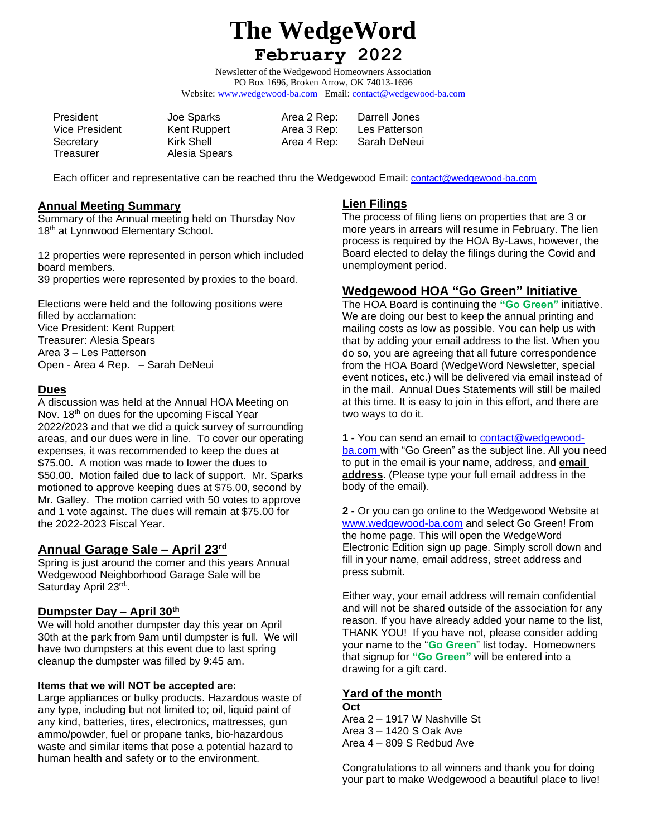# **The WedgeWord**

# **February 2022**

Newsletter of the Wedgewood Homeowners Association PO Box 1696, Broken Arrow, OK 74013-1696 Website: [www.wedgewood-ba.com](http://www.wedgewood-ba.com/) Email: contact@wedgewood-ba.com

President Joe Sparks Area 2 Rep: Darrell Jones Treasurer Alesia Spears

Vice President Kent Ruppert Area 3 Rep: Les Patterson Secretary **Kirk Shell Area 4 Rep:** Sarah DeNeui

Each officer and representative can be reached thru the Wedgewood Email: contact@wedgewood-ba.com

#### **Annual Meeting Summary**

Summary of the Annual meeting held on Thursday Nov 18<sup>th</sup> at Lynnwood Elementary School.

12 properties were represented in person which included board members. 39 properties were represented by proxies to the board.

Elections were held and the following positions were filled by acclamation: Vice President: Kent Ruppert Treasurer: Alesia Spears Area 3 – Les Patterson Open - Area 4 Rep. – Sarah DeNeui

# **Dues**

A discussion was held at the Annual HOA Meeting on Nov. 18<sup>th</sup> on dues for the upcoming Fiscal Year 2022/2023 and that we did a quick survey of surrounding areas, and our dues were in line. To cover our operating expenses, it was recommended to keep the dues at \$75.00. A motion was made to lower the dues to \$50.00. Motion failed due to lack of support. Mr. Sparks motioned to approve keeping dues at \$75.00, second by Mr. Galley. The motion carried with 50 votes to approve and 1 vote against. The dues will remain at \$75.00 for the 2022-2023 Fiscal Year.

# **Annual Garage Sale – April 23rd**

Spring is just around the corner and this years Annual Wedgewood Neighborhood Garage Sale will be Saturday April 23rd.

# **Dumpster Day – April 30th**

We will hold another dumpster day this year on April 30th at the park from 9am until dumpster is full. We will have two dumpsters at this event due to last spring cleanup the dumpster was filled by 9:45 am.

# **Items that we will NOT be accepted are:**

Large appliances or bulky products. Hazardous waste of any type, including but not limited to; oil, liquid paint of any kind, batteries, tires, electronics, mattresses, gun ammo/powder, fuel or propane tanks, bio-hazardous waste and similar items that pose a potential hazard to human health and safety or to the environment.

# **Lien Filings**

The process of filing liens on properties that are 3 or more years in arrears will resume in February. The lien process is required by the HOA By-Laws, however, the Board elected to delay the filings during the Covid and unemployment period.

# **Wedgewood HOA "Go Green" Initiative**

The HOA Board is continuing the **"Go Green"** initiative. We are doing our best to keep the annual printing and mailing costs as low as possible. You can help us with that by adding your email address to the list. When you do so, you are agreeing that all future correspondence from the HOA Board (WedgeWord Newsletter, special event notices, etc.) will be delivered via email instead of in the mail. Annual Dues Statements will still be mailed at this time. It is easy to join in this effort, and there are two ways to do it.

**1 -** You can send an email to [contact@wedgewood](mailto:contact@wedgewood-ba.com)[ba.com](mailto:contact@wedgewood-ba.com) with "Go Green" as the subject line. All you need to put in the email is your name, address, and **email address**. (Please type your full email address in the body of the email).

**2 -** Or you can go online to the Wedgewood Website at [www.wedgewood-ba.com](http://www.wedgewood-ba.com/) and select Go Green! From the home page. This will open the WedgeWord Electronic Edition sign up page. Simply scroll down and fill in your name, email address, street address and press submit.

Either way, your email address will remain confidential and will not be shared outside of the association for any reason. If you have already added your name to the list, THANK YOU! If you have not, please consider adding your name to the "**Go Green**" list today. Homeowners that signup for **"Go Green"** will be entered into a drawing for a gift card.

# **Yard of the month**

**Oct** Area 2 – 1917 W Nashville St Area 3 – 1420 S Oak Ave Area 4 – 809 S Redbud Ave

Congratulations to all winners and thank you for doing your part to make Wedgewood a beautiful place to live!